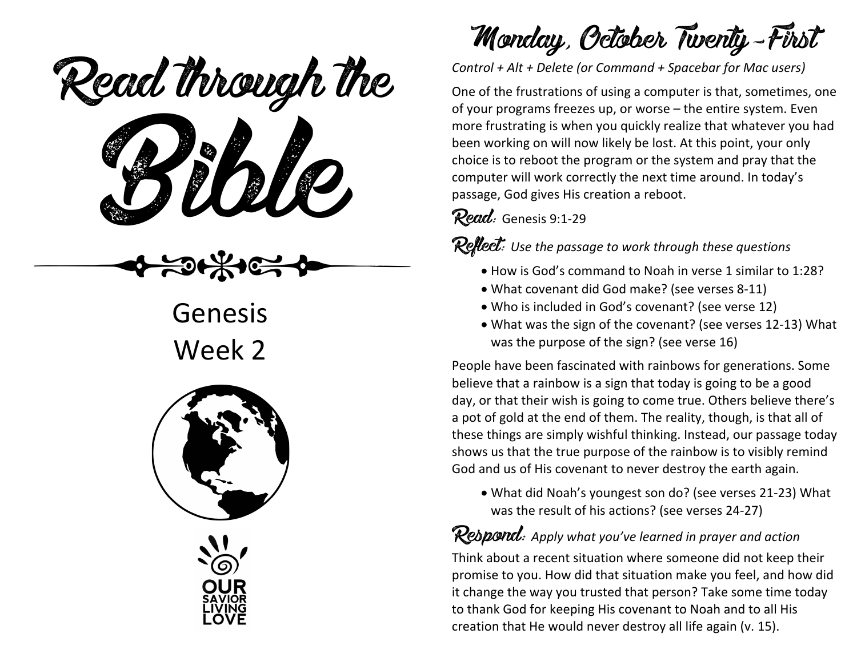ead mough is Read through the

Genesis Week 2



Monday, October Twenty-First

*Control + Alt + Delete (or Command + Spacebar for Mac users)*

One of the frustrations of using a computer is that, sometimes, one of your programs freezes up, or worse – the entire system. Even more frustrating is when you quickly realize that whatever you had been working on will now likely be lost. At this point, your only choice is to reboot the program or the system and pray that the computer will work correctly the next time around. In today's passage, God gives His creation a reboot.

#### Read: Genesis 9:1-29

Reflect: *Use the passage to work through these questions*

- How is God's command to Noah in verse 1 similar to 1:28?
- What covenant did God make? (see verses 8-11)
- Who is included in God's covenant? (see verse 12)
- What was the sign of the covenant? (see verses 12-13) What was the purpose of the sign? (see verse 16)

People have been fascinated with rainbows for generations. Some believe that a rainbow is a sign that today is going to be a good day, or that their wish is going to come true. Others believe there's a pot of gold at the end of them. The reality, though, is that all of these things are simply wishful thinking. Instead, our passage today shows us that the true purpose of the rainbow is to visibly remind God and us of His covenant to never destroy the earth again.

• What did Noah's youngest son do? (see verses 21-23) What was the result of his actions? (see verses 24-27)

Respond: *Apply what you've learned in prayer and action* Think about a recent situation where someone did not keep their promise to you. How did that situation make you feel, and how did it change the way you trusted that person? Take some time today to thank God for keeping His covenant to Noah and to all His creation that He would never destroy all life again (v. 15).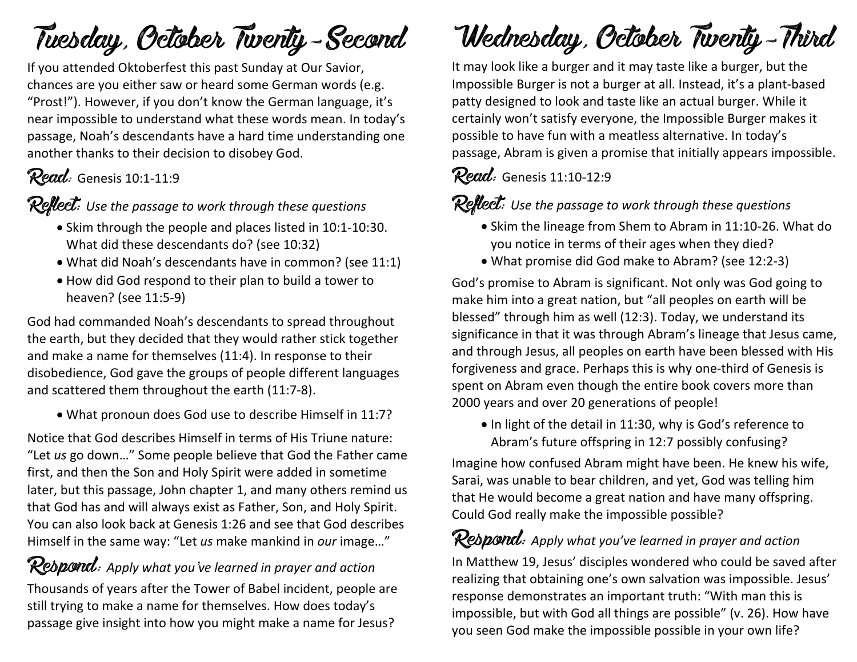## Tuesday, October Twenty-Second

If you attended Oktoberfest this past Sunday at Our Savior, chances are you either saw or heard some German words (e.g. "Prost!"). However, if you don't know the German language, it's near impossible to understand what these words mean. In today's passage, Noah's descendants have a hard time understanding one another thanks to their decision to disobey God.

## Read: Genesis 10:1-11:9

Reflect: Use the passage to work through these questions

- Skim through the people and places listed in 10:1-10:30. What did these descendants do? (see 10:32)
- What did Noah's descendants have in common? (see 11:1)
- How did God respond to their plan to build a tower to heaven? (see 11:5-9)

God had commanded Noah's descendants to spread throughout the earth, but they decided that they would rather stick together and make a name for themselves (11:4). In response to their disobedience, God gave the groups of people different languages and scattered them throughout the earth (11:7-8).

• What pronoun does God use to describe Himself in 11:7?

Notice that God describes Himself in terms of His Triune nature: "Let *us* go down…" Some people believe that God the Father came first, and then the Son and Holy Spirit were added in sometime later, but this passage, John chapter 1, and many others remind us that God has and will always exist as Father, Son, and Holy Spirit. You can also look back at Genesis 1:26 and see that God describes Himself in the same way: "Let *us* make mankind in *our* image…"

## Respond: *Apply what you've learned in prayer and action*

Thousands of years after the Tower of Babel incident, people are still trying to make a name for themselves. How does today's passage give insight into how you might make a name for Jesus?

# Wednesday, October Twenty-Third

It may look like a burger and it may taste like a burger, but the Impossible Burger is not a burger at all. Instead, it's a plant-based patty designed to look and taste like an actual burger. While it certainly won't satisfy everyone, the Impossible Burger makes it possible to have fun with a meatless alternative. In today's passage, Abram is given a promise that initially appears impossible.

### Read: Genesis 11:10-12:9

**Reflect:** Use the passage to work through these questions

- Skim the lineage from Shem to Abram in 11:10-26. What do you notice in terms of their ages when they died?
- What promise did God make to Abram? (see 12:2-3)

God's promise to Abram is significant. Not only was God going to make him into a great nation, but "all peoples on earth will be blessed" through him as well (12:3). Today, we understand its significance in that it was through Abram's lineage that Jesus came, and through Jesus, all peoples on earth have been blessed with His forgiveness and grace. Perhaps this is why one-third of Genesis is spent on Abram even though the entire book covers more than 2000 years and over 20 generations of people!

• In light of the detail in 11:30, why is God's reference to Abram's future offspring in 12:7 possibly confusing?

Imagine how confused Abram might have been. He knew his wife, Sarai, was unable to bear children, and yet, God was telling him that He would become a great nation and have many offspring. Could God really make the impossible possible?

## Respond: *Apply what you've learned in prayer and action*

In Matthew 19, Jesus' disciples wondered who could be saved after realizing that obtaining one's own salvation was impossible. Jesus' response demonstrates an important truth: "With man this is impossible, but with God all things are possible" (v. 26). How have you seen God make the impossible possible in your own life?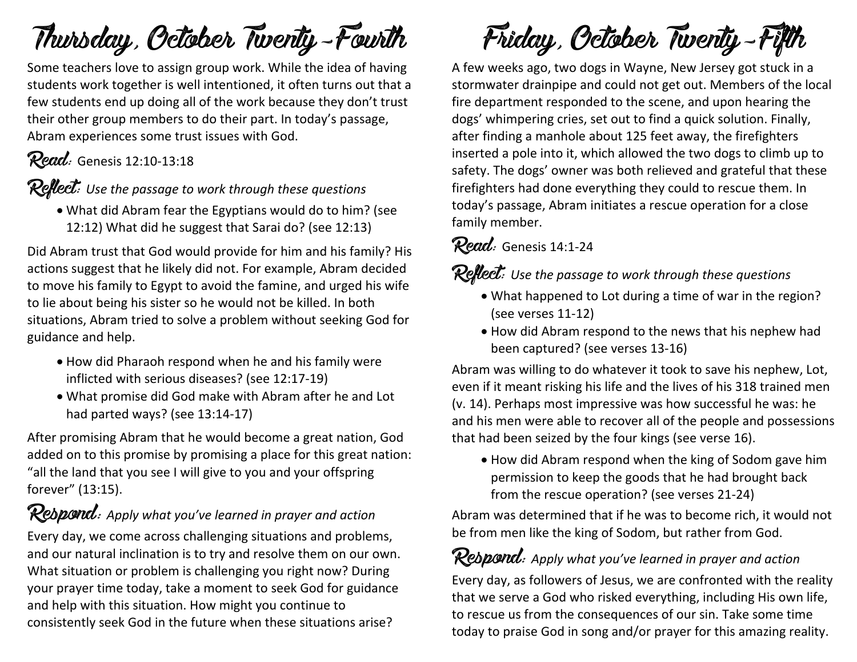## Thursday, October Twenty-Fourth

Some teachers love to assign group work. While the idea of having students work together is well intentioned, it often turns out that a few students end up doing all of the work because they don't trust their other group members to do their part. In today's passage, Abram experiences some trust issues with God.

### Read: Genesis 12:10-13:18

Reflect: *Use the passage to work through these questions*

• What did Abram fear the Egyptians would do to him? (see 12:12) What did he suggest that Sarai do? (see 12:13)

Did Abram trust that God would provide for him and his family? His actions suggest that he likely did not. For example, Abram decided to move his family to Egypt to avoid the famine, and urged his wife to lie about being his sister so he would not be killed. In both situations, Abram tried to solve a problem without seeking God for guidance and help.

- How did Pharaoh respond when he and his family were inflicted with serious diseases? (see 12:17-19)
- What promise did God make with Abram after he and Lot had parted ways? (see 13:14-17)

After promising Abram that he would become a great nation, God added on to this promise by promising a place for this great nation: "all the land that you see I will give to you and your offspring forever" (13:15).

## Respond: *Apply what you've learned in prayer and action*

Every day, we come across challenging situations and problems, and our natural inclination is to try and resolve them on our own. What situation or problem is challenging you right now? During your prayer time today, take a moment to seek God for guidance and help with this situation. How might you continue to consistently seek God in the future when these situations arise?

Friday, October Twenty-Fifth

A few weeks ago, two dogs in Wayne, New Jersey got stuck in a stormwater drainpipe and could not get out. Members of the local fire department responded to the scene, and upon hearing the dogs' whimpering cries, set out to find a quick solution. Finally, after finding a manhole about 125 feet away, the firefighters inserted a pole into it, which allowed the two dogs to climb up to safety. The dogs' owner was both relieved and grateful that these firefighters had done everything they could to rescue them. In today's passage, Abram initiates a rescue operation for a close family member.

### Read: Genesis 14:1-24

Reflect: *Use the passage to work through these questions*

- What happened to Lot during a time of war in the region? (see verses 11-12)
- How did Abram respond to the news that his nephew had been captured? (see verses 13-16)

Abram was willing to do whatever it took to save his nephew, Lot, even if it meant risking his life and the lives of his 318 trained men (v. 14). Perhaps most impressive was how successful he was: he and his men were able to recover all of the people and possessions that had been seized by the four kings (see verse 16).

• How did Abram respond when the king of Sodom gave him permission to keep the goods that he had brought back from the rescue operation? (see verses 21-24)

Abram was determined that if he was to become rich, it would not be from men like the king of Sodom, but rather from God.

### Respond: *Apply what you've learned in prayer and action*

Every day, as followers of Jesus, we are confronted with the reality that we serve a God who risked everything, including His own life, to rescue us from the consequences of our sin. Take some time today to praise God in song and/or prayer for this amazing reality.